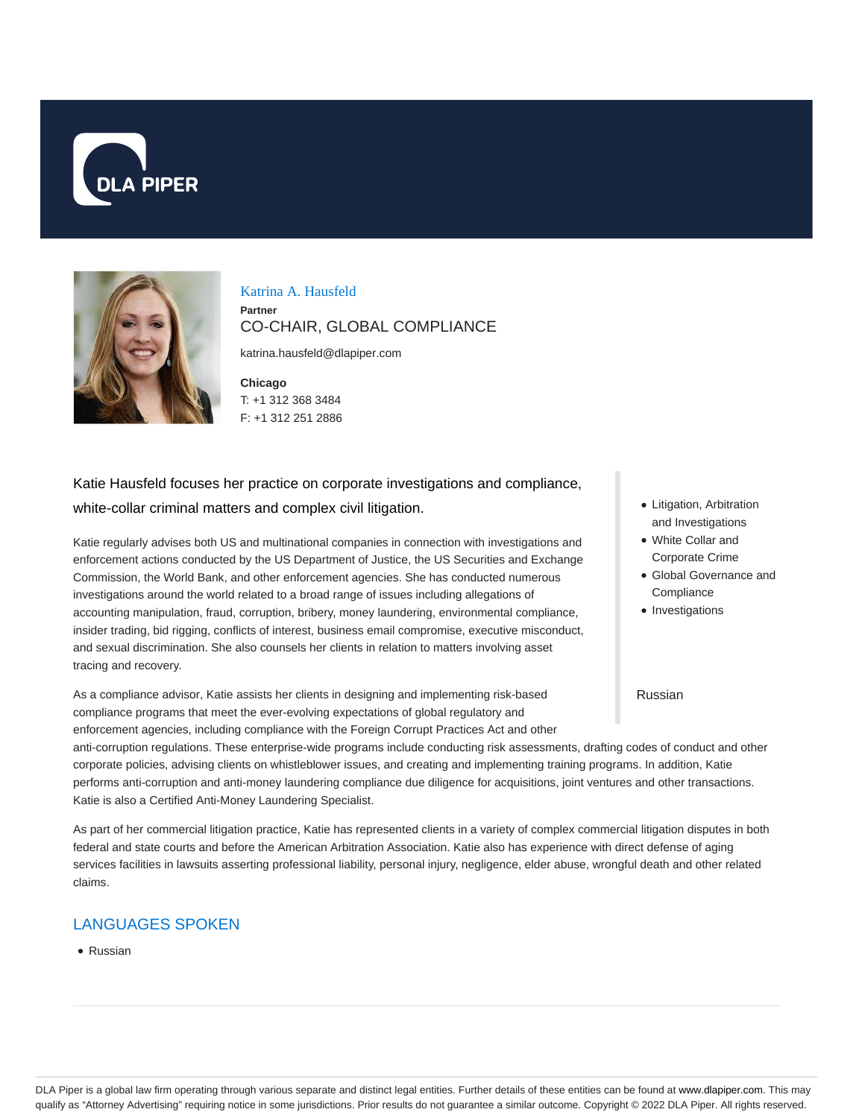



Katrina A. Hausfeld

**Partner** CO-CHAIR, GLOBAL COMPLIANCE

katrina.hausfeld@dlapiper.com

**Chicago** T: +1 312 368 3484 F: +1 312 251 2886

# Katie Hausfeld focuses her practice on corporate investigations and compliance, white-collar criminal matters and complex civil litigation.

Katie regularly advises both US and multinational companies in connection with investigations and enforcement actions conducted by the US Department of Justice, the US Securities and Exchange Commission, the World Bank, and other enforcement agencies. She has conducted numerous investigations around the world related to a broad range of issues including allegations of accounting manipulation, fraud, corruption, bribery, money laundering, environmental compliance, insider trading, bid rigging, conflicts of interest, business email compromise, executive misconduct, and sexual discrimination. She also counsels her clients in relation to matters involving asset tracing and recovery.

As a compliance advisor, Katie assists her clients in designing and implementing risk-based compliance programs that meet the ever-evolving expectations of global regulatory and enforcement agencies, including compliance with the Foreign Corrupt Practices Act and other

- Litigation, Arbitration and Investigations
- White Collar and Corporate Crime
- Global Governance and **Compliance**
- Investigations

### Russian

anti-corruption regulations. These enterprise-wide programs include conducting risk assessments, drafting codes of conduct and other corporate policies, advising clients on whistleblower issues, and creating and implementing training programs. In addition, Katie performs anti-corruption and anti-money laundering compliance due diligence for acquisitions, joint ventures and other transactions. Katie is also a Certified Anti-Money Laundering Specialist.

As part of her commercial litigation practice, Katie has represented clients in a variety of complex commercial litigation disputes in both federal and state courts and before the American Arbitration Association. Katie also has experience with direct defense of aging services facilities in lawsuits asserting professional liability, personal injury, negligence, elder abuse, wrongful death and other related claims.

# LANGUAGES SPOKEN

• Russian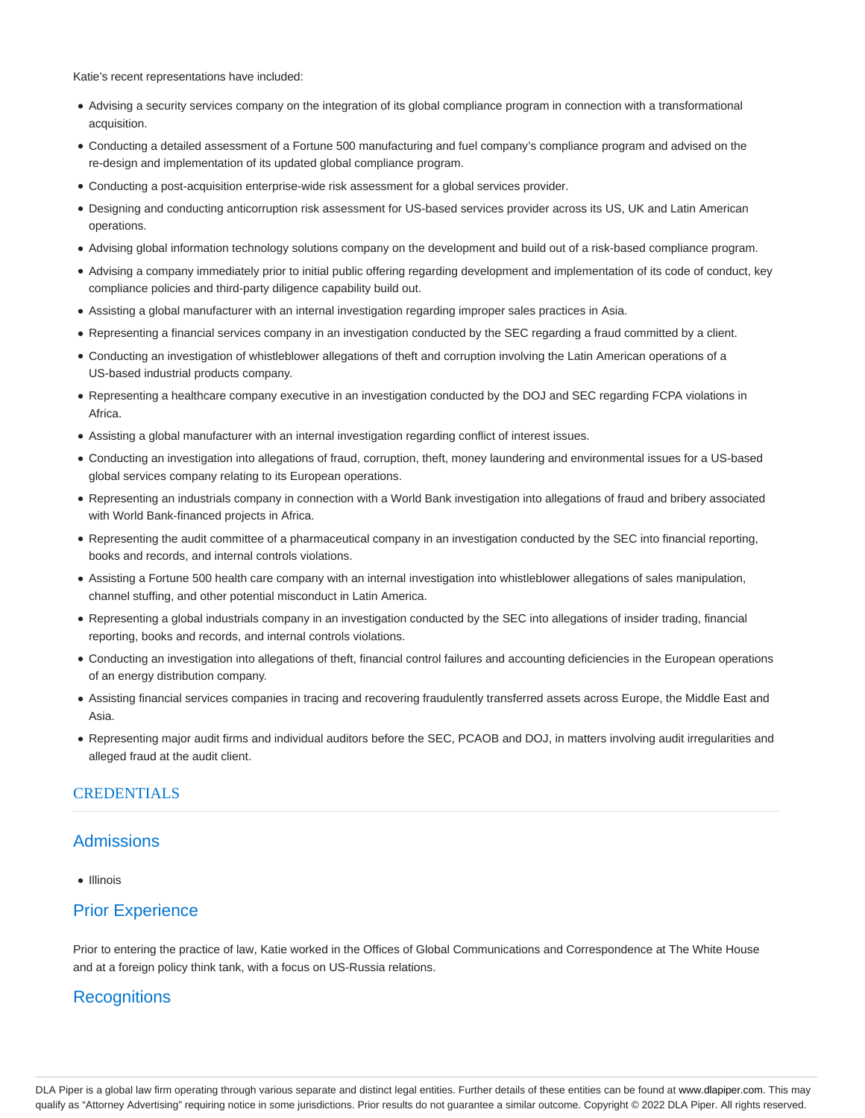Katie's recent representations have included:

- Advising a security services company on the integration of its global compliance program in connection with a transformational acquisition.
- Conducting a detailed assessment of a Fortune 500 manufacturing and fuel company's compliance program and advised on the re-design and implementation of its updated global compliance program.
- Conducting a post-acquisition enterprise-wide risk assessment for a global services provider.
- Designing and conducting anticorruption risk assessment for US-based services provider across its US, UK and Latin American operations.
- Advising global information technology solutions company on the development and build out of a risk-based compliance program.
- Advising a company immediately prior to initial public offering regarding development and implementation of its code of conduct, key compliance policies and third-party diligence capability build out.
- Assisting a global manufacturer with an internal investigation regarding improper sales practices in Asia.
- Representing a financial services company in an investigation conducted by the SEC regarding a fraud committed by a client.
- Conducting an investigation of whistleblower allegations of theft and corruption involving the Latin American operations of a US-based industrial products company.
- Representing a healthcare company executive in an investigation conducted by the DOJ and SEC regarding FCPA violations in Africa.
- Assisting a global manufacturer with an internal investigation regarding conflict of interest issues.
- Conducting an investigation into allegations of fraud, corruption, theft, money laundering and environmental issues for a US-based global services company relating to its European operations.
- Representing an industrials company in connection with a World Bank investigation into allegations of fraud and bribery associated with World Bank-financed projects in Africa.
- Representing the audit committee of a pharmaceutical company in an investigation conducted by the SEC into financial reporting, books and records, and internal controls violations.
- Assisting a Fortune 500 health care company with an internal investigation into whistleblower allegations of sales manipulation, channel stuffing, and other potential misconduct in Latin America.
- Representing a global industrials company in an investigation conducted by the SEC into allegations of insider trading, financial reporting, books and records, and internal controls violations.
- Conducting an investigation into allegations of theft, financial control failures and accounting deficiencies in the European operations of an energy distribution company.
- Assisting financial services companies in tracing and recovering fraudulently transferred assets across Europe, the Middle East and Asia.
- Representing major audit firms and individual auditors before the SEC, PCAOB and DOJ, in matters involving audit irregularities and alleged fraud at the audit client.

## **CREDENTIALS**

## Admissions

• Illinois

# Prior Experience

Prior to entering the practice of law, Katie worked in the Offices of Global Communications and Correspondence at The White House and at a foreign policy think tank, with a focus on US-Russia relations.

# **Recognitions**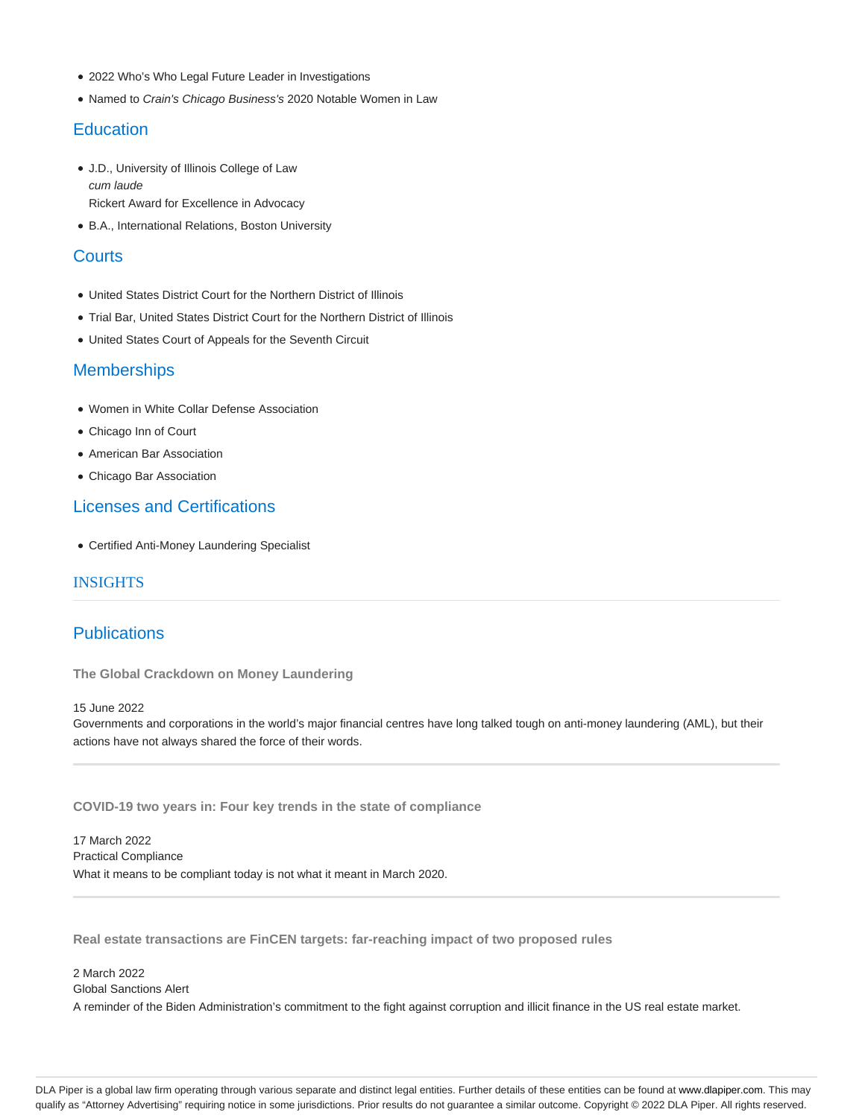- 2022 Who's Who Legal Future Leader in Investigations
- Named to Crain's Chicago Business's 2020 Notable Women in Law

## **Education**

- J.D., University of Illinois College of Law cum laude Rickert Award for Excellence in Advocacy
- B.A., International Relations, Boston University

## **Courts**

- United States District Court for the Northern District of Illinois
- Trial Bar, United States District Court for the Northern District of Illinois
- United States Court of Appeals for the Seventh Circuit

## **Memberships**

- Women in White Collar Defense Association
- Chicago Inn of Court
- American Bar Association
- Chicago Bar Association

# Licenses and Certifications

Certified Anti-Money Laundering Specialist

## INSIGHTS

# **Publications**

**The Global Crackdown on Money Laundering**

### 15 June 2022

Governments and corporations in the world's major financial centres have long talked tough on anti-money laundering (AML), but their actions have not always shared the force of their words.

**COVID-19 two years in: Four key trends in the state of compliance**

17 March 2022 Practical Compliance What it means to be compliant today is not what it meant in March 2020.

**Real estate transactions are FinCEN targets: far-reaching impact of two proposed rules**

2 March 2022 Global Sanctions Alert A reminder of the Biden Administration's commitment to the fight against corruption and illicit finance in the US real estate market.

DLA Piper is a global law firm operating through various separate and distinct legal entities. Further details of these entities can be found at www.dlapiper.com. This may qualify as "Attorney Advertising" requiring notice in some jurisdictions. Prior results do not guarantee a similar outcome. Copyright © 2022 DLA Piper. All rights reserved.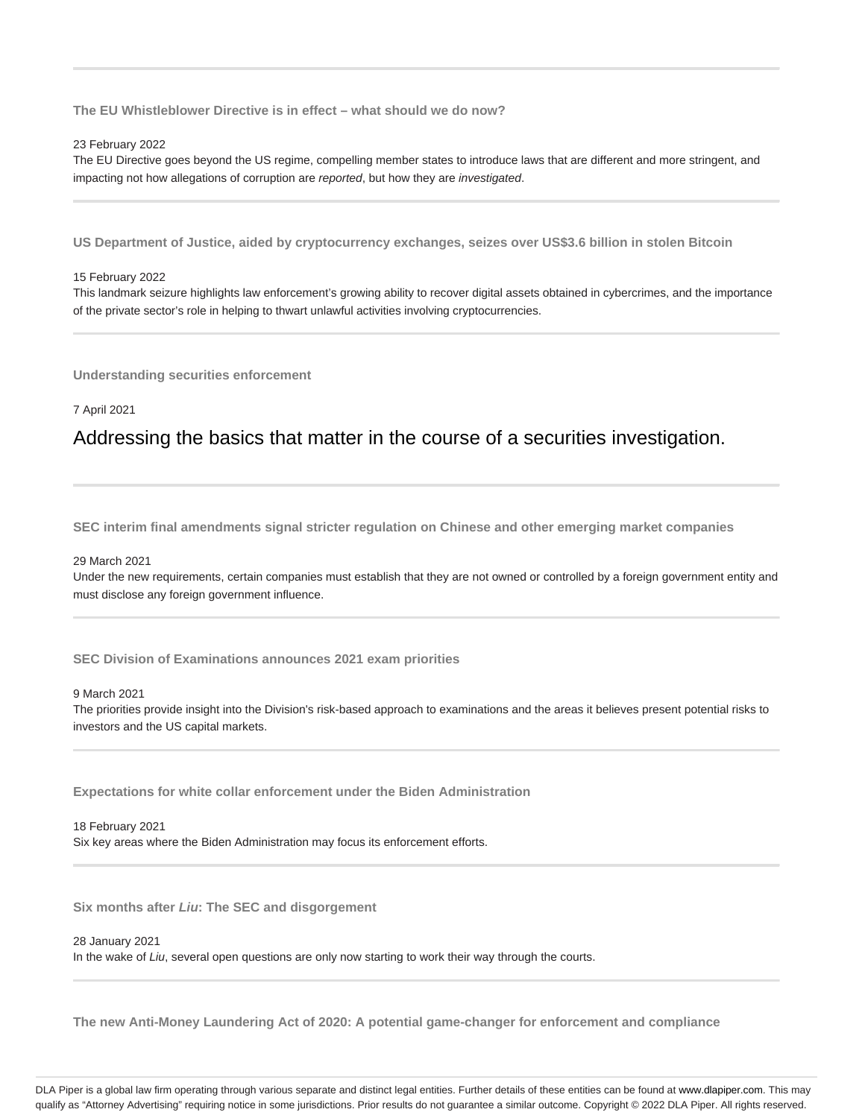**The EU Whistleblower Directive is in effect – what should we do now?**

#### 23 February 2022

The EU Directive goes beyond the US regime, compelling member states to introduce laws that are different and more stringent, and impacting not how allegations of corruption are reported, but how they are investigated.

**US Department of Justice, aided by cryptocurrency exchanges, seizes over US\$3.6 billion in stolen Bitcoin**

#### 15 February 2022

This landmark seizure highlights law enforcement's growing ability to recover digital assets obtained in cybercrimes, and the importance of the private sector's role in helping to thwart unlawful activities involving cryptocurrencies.

**Understanding securities enforcement**

7 April 2021

# Addressing the basics that matter in the course of a securities investigation.

**SEC interim final amendments signal stricter regulation on Chinese and other emerging market companies**

#### 29 March 2021

Under the new requirements, certain companies must establish that they are not owned or controlled by a foreign government entity and must disclose any foreign government influence.

**SEC Division of Examinations announces 2021 exam priorities**

### 9 March 2021

The priorities provide insight into the Division's risk-based approach to examinations and the areas it believes present potential risks to investors and the US capital markets.

**Expectations for white collar enforcement under the Biden Administration**

18 February 2021 Six key areas where the Biden Administration may focus its enforcement efforts.

**Six months after Liu: The SEC and disgorgement**

#### 28 January 2021

In the wake of Liu, several open questions are only now starting to work their way through the courts.

**The new Anti-Money Laundering Act of 2020: A potential game-changer for enforcement and compliance**

DLA Piper is a global law firm operating through various separate and distinct legal entities. Further details of these entities can be found at www.dlapiper.com. This may qualify as "Attorney Advertising" requiring notice in some jurisdictions. Prior results do not guarantee a similar outcome. Copyright @ 2022 DLA Piper. All rights reserved.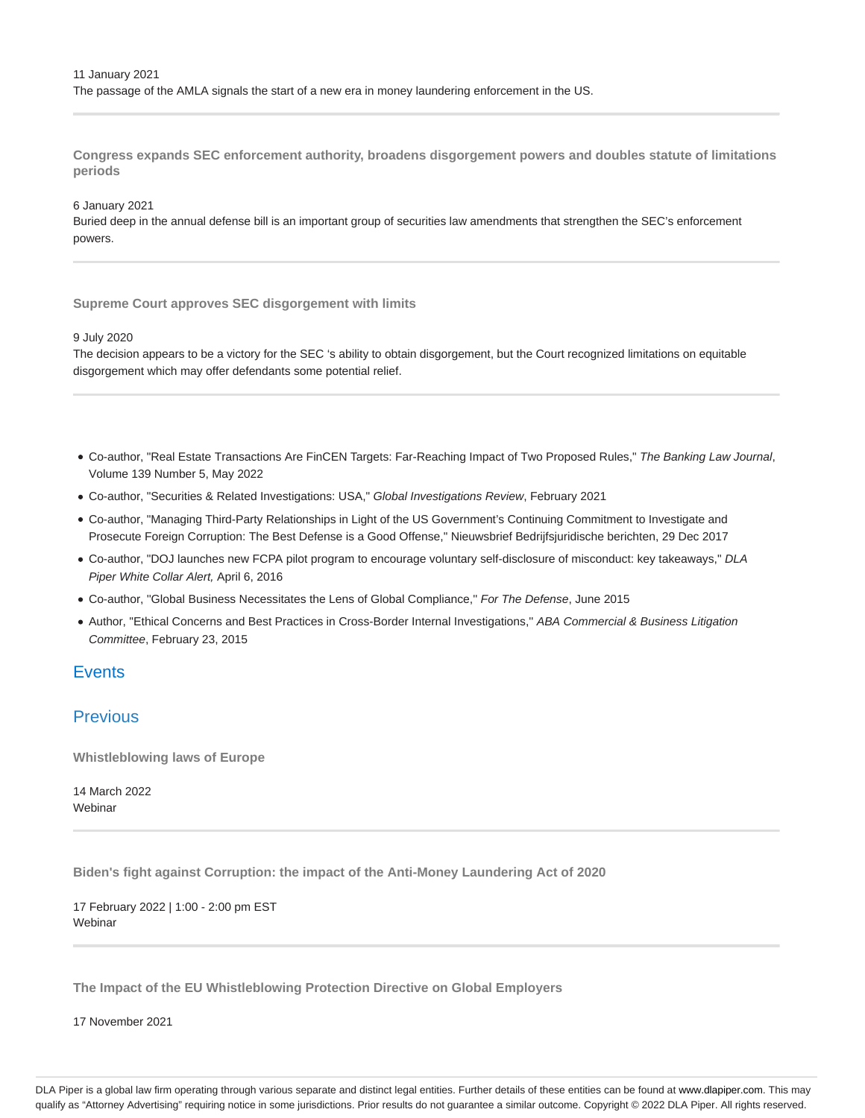**Congress expands SEC enforcement authority, broadens disgorgement powers and doubles statute of limitations periods**

### 6 January 2021

Buried deep in the annual defense bill is an important group of securities law amendments that strengthen the SEC's enforcement powers.

### **Supreme Court approves SEC disgorgement with limits**

### 9 July 2020

The decision appears to be a victory for the SEC 's ability to obtain disgorgement, but the Court recognized limitations on equitable disgorgement which may offer defendants some potential relief.

- Co-author, "Real Estate Transactions Are FinCEN Targets: Far-Reaching Impact of Two Proposed Rules," The Banking Law Journal, Volume 139 Number 5, May 2022
- Co-author, "Securities & Related Investigations: USA," Global Investigations Review, February 2021
- Co-author, "Managing Third-Party Relationships in Light of the US Government's Continuing Commitment to Investigate and Prosecute Foreign Corruption: The Best Defense is a Good Offense," Nieuwsbrief Bedrijfsjuridische berichten, 29 Dec 2017
- Co-author, "DOJ launches new FCPA pilot program to encourage voluntary self-disclosure of misconduct: key takeaways," DLA Piper White Collar Alert, April 6, 2016
- Co-author, ''Global Business Necessitates the Lens of Global Compliance,'' For The Defense, June 2015
- Author, "Ethical Concerns and Best Practices in Cross-Border Internal Investigations," ABA Commercial & Business Litigation Committee, February 23, 2015

## **Events**

## **Previous**

**Whistleblowing laws of Europe**

14 March 2022 Webinar

**Biden's fight against Corruption: the impact of the Anti-Money Laundering Act of 2020**

17 February 2022 | 1:00 - 2:00 pm EST Webinar

**The Impact of the EU Whistleblowing Protection Directive on Global Employers**

17 November 2021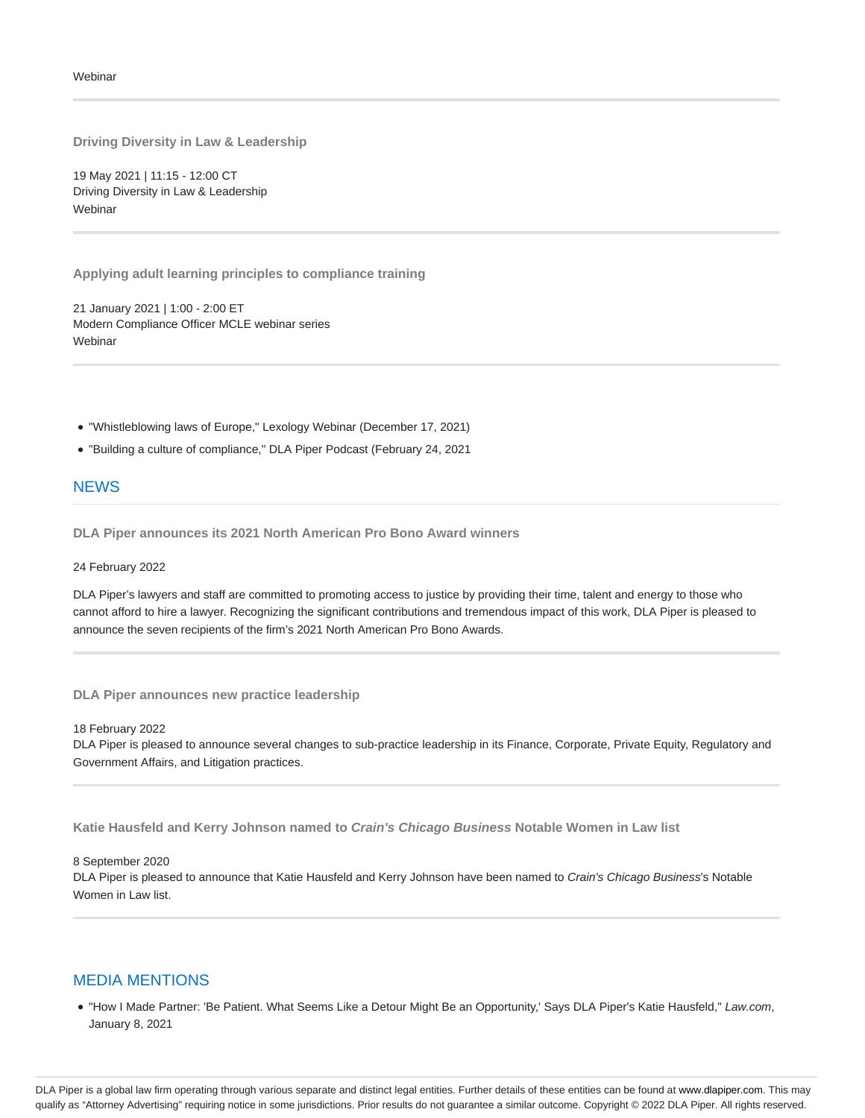**Driving Diversity in Law & Leadership**

19 May 2021 | 11:15 - 12:00 CT Driving Diversity in Law & Leadership Webinar

**Applying adult learning principles to compliance training**

21 January 2021 | 1:00 - 2:00 ET Modern Compliance Officer MCLE webinar series Webinar

"Whistleblowing laws of Europe," Lexology Webinar (December 17, 2021)

"Building a culture of compliance," DLA Piper Podcast (February 24, 2021

## **NEWS**

**DLA Piper announces its 2021 North American Pro Bono Award winners**

24 February 2022

DLA Piper's lawyers and staff are committed to promoting access to justice by providing their time, talent and energy to those who cannot afford to hire a lawyer. Recognizing the significant contributions and tremendous impact of this work, DLA Piper is pleased to announce the seven recipients of the firm's 2021 North American Pro Bono Awards.

**DLA Piper announces new practice leadership**

18 February 2022

DLA Piper is pleased to announce several changes to sub-practice leadership in its Finance, Corporate, Private Equity, Regulatory and Government Affairs, and Litigation practices.

**Katie Hausfeld and Kerry Johnson named to Crain's Chicago Business Notable Women in Law list**

8 September 2020

DLA Piper is pleased to announce that Katie Hausfeld and Kerry Johnson have been named to Crain's Chicago Business's Notable Women in Law list.

### MEDIA MENTIONS

. "How I Made Partner: 'Be Patient. What Seems Like a Detour Might Be an Opportunity,' Says DLA Piper's Katie Hausfeld," Law.com, January 8, 2021

DLA Piper is a global law firm operating through various separate and distinct legal entities. Further details of these entities can be found at www.dlapiper.com. This may qualify as "Attorney Advertising" requiring notice in some jurisdictions. Prior results do not guarantee a similar outcome. Copyright @ 2022 DLA Piper. All rights reserved.